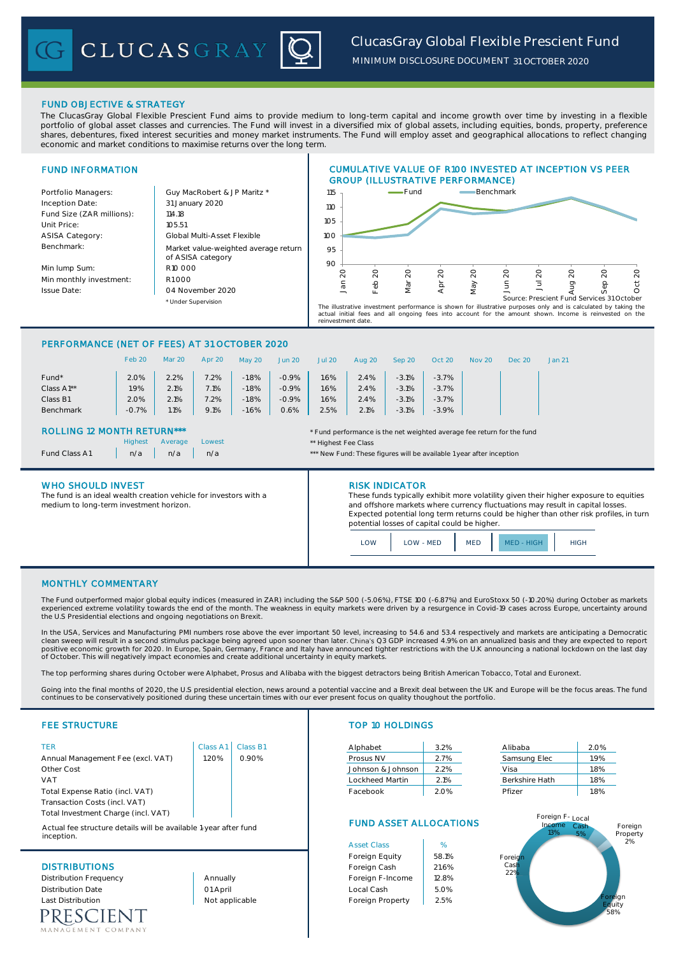# FUND OBJECTIVE & STRATEGY

The ClucasGray Global Flexible Prescient Fund aims to provide medium to long-term capital and income growth over time by investing in a flexible portfolio of global asset classes and currencies. The Fund will invest in a diversified mix of global assets, including equities, bonds, property, preference shares, debentures, fixed interest securities and money market instruments. The Fund will employ asset and geographical allocations to reflect changing economic and market conditions to maximise returns over the long term.

## FUND INFORMATION Portfolio Managers: <br> Guy MacRobert & JP Maritz \* Inception Date: Fund Size (ZAR millions): | 114.18 Unit Price: 105.51 ASISA Category: Benchmark: Min lump Sum: Min monthly investment: Issue Date: \* Under Supervision Global Multi-Asset Flexible R10 000 R1 000 CUMULATIVE VALUE OF R100 INVESTED AT INCEPTION VS PEER GROUP (ILLUSTRATIVE PERFORMANCE) Market value-weighted average return of ASISA category 04 November 2020 31 January 2020 90 95 100 105 110 115 Jan 20 Feb 20 Mar 20 Apr May 20 Jun 20 Jul 20 Aug 20 Sep 20 Oct 20 Fund **Benchmark** The illustrative investment performance is shown for illustrative purposes only and is calculated by taking the<br>actual initial fees and all ongoing fees into account for the amount shown. Income is reinvested on the<br>reinve Source: Prescient Fund Services 31 October

# PERFORMANCE (NET OF FEES) AT 31 OCTOBER 2020

|                   | Feb 20  | Mar 20 | Apr 20 | May 20  | Jun 20  | <b>Jul 20</b> | Aug 20 | Sep 20  | Oct 20  | <b>Nov 20</b> | Dec 20 | Jan <sub>21</sub> |
|-------------------|---------|--------|--------|---------|---------|---------------|--------|---------|---------|---------------|--------|-------------------|
| Fund <sup>*</sup> | 2.0%    | 2.2%   | 7.2%   | $-1.8%$ | $-0.9%$ | $.6\%$        | 2.4%   | $-3.1%$ | $-3.7%$ |               |        |                   |
| Class A1**        | 1.9%    | 2.1%   | 7.1%   | $-1.8%$ | $-0.9%$ | $.6\%$        | 2.4%   | $-3.1%$ | $-3.7%$ |               |        |                   |
| Class B1          | 2.0%    | 2.1%   | 7.2%   | $-1.8%$ | $-0.9%$ | 1.6%          | 2.4%   | $-3.1%$ | $-3.7%$ |               |        |                   |
| Benchmark         | $-0.7%$ | 1.1%   | 9.1%   | $-1.6%$ | 0.6%    | 2.5%          | 2.1%   | $-3.1%$ | $-3.9%$ |               |        |                   |
|                   |         |        |        |         |         |               |        |         |         |               |        |                   |

|               | Highest |
|---------------|---------|
| Fund Class A1 | n/a     |

ROLLING 12 MONTH RETURN\*\*\* \* Fund performance is the net weighted average fee return for the fund

Lowest **Lowest Average Lowest Average Lowest Average Average Average Average Average Average Average Average Ave** 

n/a n/a n/a n/a n/a  $\cdots$   $\cdots$  n/a  $\cdots$  n/a  $\cdots$  n/a  $\cdots$  n/a  $\cdots$  n/a  $\cdots$  n/a  $\cdots$  n/a  $\cdots$  n/a  $\cdots$  n/a  $\cdots$  n/a  $\cdots$  n/a  $\cdots$  n/a  $\cdots$  n/a  $\cdots$  n/a  $\cdots$  n/a  $\cdots$  n/a  $\cdots$  n/a  $\cdots$  n/a  $\cdots$  n/a  $\cdots$ 

# WHO SHOULD INVEST **RISK INDICATOR**

The fund is an ideal wealth creation vehicle for investors with a medium to long-term investment horizon.

These funds typically exhibit more volatility given their higher exposure to equities and offshore markets where currency fluctuations may result in capital losses. Expected potential long term returns could be higher than other risk profiles, in turn potential losses of capital could be higher.

LOW LOW MED MED MED HIGH HIGH

# MONTHLY COMMENTARY

The Fund outperformed major global equity indices (measured in ZAR) including the S&P 500 (-5.06%), FTSE 100 (-6.87%) and EuroStoxx 50 (-10.20%) during October as markets<br>experienced extreme volatility towards the end of t the U.S Presidential elections and ongoing negotiations on Brexit.

In the USA, Services and Manufacturing PMI numbers rose above the ever important 50 level, increasing to 54.6 and 53.4 respectively and markets are anticipating a Democratic<br>clean sweep will result in a second stimulus pac positive economic growth for 2020. In Europe, Spain, Germany, France and Italy have announced tighter restrictions with the U.K announcing a national lockdown on the last day of October. This will negatively impact economies and create additional uncertainty in equity markets.

The top performing shares during October were Alphabet, Prosus and Alibaba with the biggest detractors being British American Tobacco, Total and Euronext.

Going into the final months of 2020, the U.S presidential election, news around a potential vaccine and a Brexit deal between the UK and Europe will be the focus areas. The fund continues to be conservatively positioned during these uncertain times with our ever present focus on quality thoughout the portfolio.

# **FEE STRUCTURE**

| .                                   | <b>UNUU / 11</b> | .     | <b>AIDHADEL</b>   | J.270 | Alipapa          | 2.07 |
|-------------------------------------|------------------|-------|-------------------|-------|------------------|------|
| Annual Management Fee (excl. VAT)   | .20%             | 0.90% | Prosus NV         | 2.7%  | Samsung Elec     | 1.9% |
| Other Cost                          |                  |       | Johnson & Johnson | 2.2%  | Visa             | .8%  |
| <b>VAT</b>                          |                  |       | Lockheed Martin   | 2.1%  | Berkshire Hath   | 1.8% |
| Total Expense Ratio (incl. VAT)     |                  |       | Facebook          | 2.0%  | Pfizer           | 1.8% |
| Transaction Costs (incl. VAT)       |                  |       |                   |       |                  |      |
| Total Investment Charge (incl. VAT) |                  |       |                   |       | Foreign E- Local |      |
|                                     |                  |       |                   |       |                  |      |

Actual fee structure details will be available 1-year after fund inception.

RESCIENT MENT COMPANY

|  | <b>TOP 10 HOLDINGS</b> |
|--|------------------------|
|  |                        |

| Alphabet          | 3.2% |
|-------------------|------|
| Prosus NV         | 2.7% |
| Johnson & Johnson | 2.2% |
| Lockheed Martin   | 2.1% |
| Facebook          | 2.0% |

| TER                               |      | Class A1   Class B1 | Alphabet          | 3.2% | Alibaba        | 2.0% |  |
|-----------------------------------|------|---------------------|-------------------|------|----------------|------|--|
| Annual Management Fee (excl. VAT) | .20% | 0.90%               | Prosus NV         | 2.7% | Samsung Elec   | 1.9% |  |
| Other Cost                        |      |                     | Johnson & Johnson | 2.2% | Visa           | 1.8% |  |
| VAT                               |      |                     | Lockheed Martin   | 2.1% | Berkshire Hath | 1.8% |  |
| Total Expense Ratio (incl. VAT)   |      |                     | Facebook          | 2.0% | Pfizer         | 1.8% |  |

# FUND ASSET ALLOCATIONS

| .                        |                | <b>Asset Class</b> | %     |
|--------------------------|----------------|--------------------|-------|
|                          |                | Foreign Equity     | 58.1% |
| <b>DISTRIBUTIONS</b>     |                | Foreign Cash       | 21.6% |
| Distribution Frequency   | Annually       | Foreign F-Income   | 12.8% |
| <b>Distribution Date</b> | 01 April       | Local Cash         | 5.0%  |
| <b>Last Distribution</b> | Not applicable | Foreign Property   | 2.5%  |

| Alibaba               | 2.0% |
|-----------------------|------|
| Samsung Elec          | 1.9% |
| Visa                  | 1.8% |
| <b>Berkshire Hath</b> | 1.8% |
| Pfizer                | 1.8% |
|                       |      |